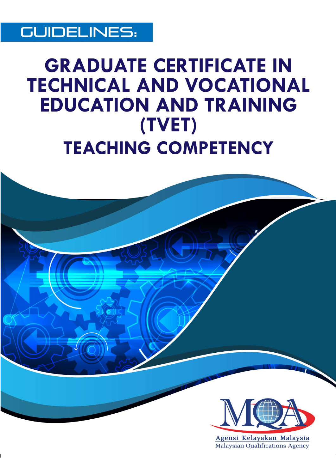

# **GRADUATE CERTIFICATE IN TECHNICAL AND VOCATIONAL EDUCATION AND TRAINING** (TVET) **TEACHING COMPETENCY**

**Edited as of 4th September 2018**

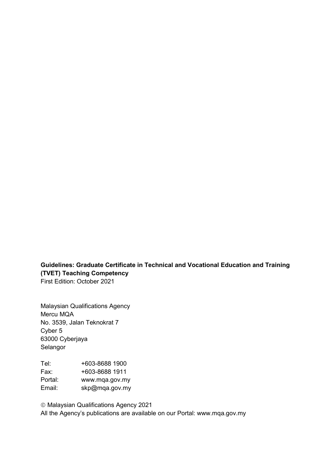# **Guidelines: Graduate Certificate in Technical and Vocational Education and Training (TVET) Teaching Competency**

First Edition: October 2021

Malaysian Qualifications Agency Mercu MQA No. 3539, Jalan Teknokrat 7 Cyber 5 63000 Cyberjaya Selangor

Tel: +603-8688 1900 Fax: +603-8688 1911 Portal: www.mqa.gov.my Email: skp@mqa.gov.my

 Malaysian Qualifications Agency 2021 All the Agency's publications are available on our Portal: www.mqa.gov.my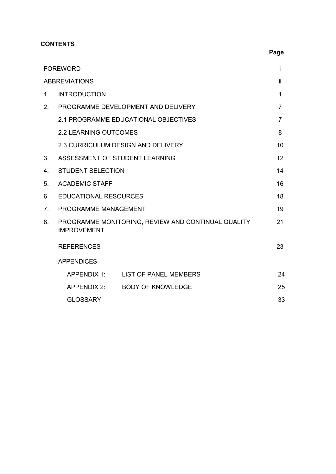# **CONTENTS**

|         | <b>FOREWORD</b>                                                          | i   |  |  |  |  |
|---------|--------------------------------------------------------------------------|-----|--|--|--|--|
|         | <b>ABBREVIATIONS</b>                                                     | ii. |  |  |  |  |
| $1_{-}$ | <b>INTRODUCTION</b>                                                      | 1   |  |  |  |  |
| 2.      | PROGRAMME DEVELOPMENT AND DELIVERY                                       | 7   |  |  |  |  |
|         | 2.1 PROGRAMME EDUCATIONAL OBJECTIVES                                     |     |  |  |  |  |
|         | <b>2.2 LEARNING OUTCOMES</b>                                             | 8   |  |  |  |  |
|         | 2.3 CURRICULUM DESIGN AND DELIVERY                                       | 10  |  |  |  |  |
| 3.      | ASSESSMENT OF STUDENT LEARNING                                           | 12  |  |  |  |  |
| 4.      | <b>STUDENT SELECTION</b>                                                 |     |  |  |  |  |
| 5.      | <b>ACADEMIC STAFF</b>                                                    |     |  |  |  |  |
| 6.      | <b>EDUCATIONAL RESOURCES</b>                                             |     |  |  |  |  |
| 7.      | PROGRAMME MANAGEMENT                                                     | 19  |  |  |  |  |
| 8.      | PROGRAMME MONITORING, REVIEW AND CONTINUAL QUALITY<br><b>IMPROVEMENT</b> | 21  |  |  |  |  |
|         | <b>REFERENCES</b>                                                        | 23  |  |  |  |  |
|         | <b>APPENDICES</b>                                                        |     |  |  |  |  |
|         | APPENDIX 1:<br><b>LIST OF PANEL MEMBERS</b>                              | 24  |  |  |  |  |
|         | APPENDIX 2:<br><b>BODY OF KNOWLEDGE</b>                                  | 25  |  |  |  |  |
|         | <b>GLOSSARY</b>                                                          | 33  |  |  |  |  |

# **Page**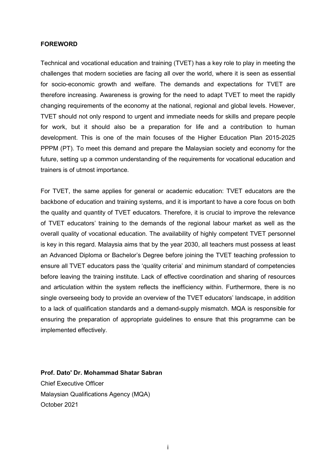#### **FOREWORD**

Technical and vocational education and training (TVET) has a key role to play in meeting the challenges that modern societies are facing all over the world, where it is seen as essential for socio-economic growth and welfare. The demands and expectations for TVET are therefore increasing. Awareness is growing for the need to adapt TVET to meet the rapidly changing requirements of the economy at the national, regional and global levels. However, TVET should not only respond to urgent and immediate needs for skills and prepare people for work, but it should also be a preparation for life and a contribution to human development. This is one of the main focuses of the Higher Education Plan 2015-2025 PPPM (PT). To meet this demand and prepare the Malaysian society and economy for the future, setting up a common understanding of the requirements for vocational education and trainers is of utmost importance.

For TVET, the same applies for general or academic education: TVET educators are the backbone of education and training systems, and it is important to have a core focus on both the quality and quantity of TVET educators. Therefore, it is crucial to improve the relevance of TVET educators' training to the demands of the regional labour market as well as the overall quality of vocational education. The availability of highly competent TVET personnel is key in this regard. Malaysia aims that by the year 2030, all teachers must possess at least an Advanced Diploma or Bachelor's Degree before joining the TVET teaching profession to ensure all TVET educators pass the 'quality criteria' and minimum standard of competencies before leaving the training institute. Lack of effective coordination and sharing of resources and articulation within the system reflects the inefficiency within. Furthermore, there is no single overseeing body to provide an overview of the TVET educators' landscape, in addition to a lack of qualification standards and a demand-supply mismatch. MQA is responsible for ensuring the preparation of appropriate guidelines to ensure that this programme can be implemented effectively.

**Prof. Dato' Dr. Mohammad Shatar Sabran** Chief Executive Officer Malaysian Qualifications Agency (MQA) October 2021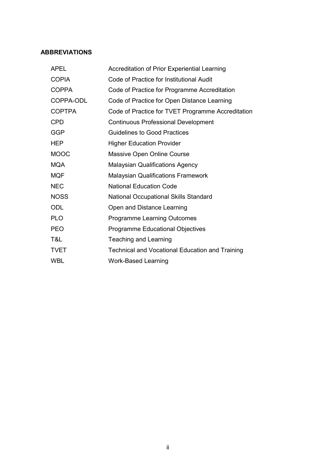#### **ABBREVIATIONS**

| <b>APEL</b>   | Accreditation of Prior Experiential Learning           |
|---------------|--------------------------------------------------------|
| <b>COPIA</b>  | Code of Practice for Institutional Audit               |
| <b>COPPA</b>  | Code of Practice for Programme Accreditation           |
| COPPA-ODL     | Code of Practice for Open Distance Learning            |
| <b>COPTPA</b> | Code of Practice for TVET Programme Accreditation      |
| <b>CPD</b>    | <b>Continuous Professional Development</b>             |
| <b>GGP</b>    | <b>Guidelines to Good Practices</b>                    |
| <b>HEP</b>    | <b>Higher Education Provider</b>                       |
| <b>MOOC</b>   | Massive Open Online Course                             |
| <b>MQA</b>    | <b>Malaysian Qualifications Agency</b>                 |
| <b>MQF</b>    | <b>Malaysian Qualifications Framework</b>              |
| <b>NEC</b>    | <b>National Education Code</b>                         |
| <b>NOSS</b>   | <b>National Occupational Skills Standard</b>           |
| ODL           | Open and Distance Learning                             |
| <b>PLO</b>    | <b>Programme Learning Outcomes</b>                     |
| <b>PEO</b>    | <b>Programme Educational Objectives</b>                |
| T&L           | Teaching and Learning                                  |
| <b>TVET</b>   | <b>Technical and Vocational Education and Training</b> |
| <b>WBL</b>    | <b>Work-Based Learning</b>                             |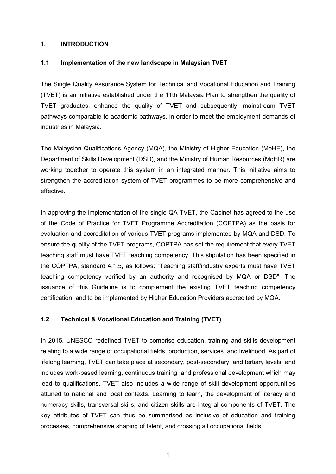#### **1. INTRODUCTION**

#### **1.1 Implementation of the new landscape in Malaysian TVET**

The Single Quality Assurance System for Technical and Vocational Education and Training (TVET) is an initiative established under the 11th Malaysia Plan to strengthen the quality of TVET graduates, enhance the quality of TVET and subsequently, mainstream TVET pathways comparable to academic pathways, in order to meet the employment demands of industries in Malaysia.

The Malaysian Qualifications Agency (MQA), the Ministry of Higher Education (MoHE), the Department of Skills Development (DSD), and the Ministry of Human Resources (MoHR) are working together to operate this system in an integrated manner. This initiative aims to strengthen the accreditation system of TVET programmes to be more comprehensive and effective.

In approving the implementation of the single QA TVET, the Cabinet has agreed to the use of the Code of Practice for TVET Programme Accreditation (COPTPA) as the basis for evaluation and accreditation of various TVET programs implemented by MQA and DSD. To ensure the quality of the TVET programs, COPTPA has set the requirement that every TVET teaching staff must have TVET teaching competency. This stipulation has been specified in the COPTPA, standard 4.1.5, as follows: "Teaching staff/industry experts must have TVET teaching competency verified by an authority and recognised by MQA or DSD". The issuance of this Guideline is to complement the existing TVET teaching competency certification, and to be implemented by Higher Education Providers accredited by MQA.

#### **1.2 Technical & Vocational Education and Training (TVET)**

In 2015, UNESCO redefined TVET to comprise education, training and skills development relating to a wide range of occupational fields, production, services, and livelihood. As part of lifelong learning, TVET can take place at secondary, post-secondary, and tertiary levels, and includes work-based learning, continuous training, and professional development which may lead to qualifications. TVET also includes a wide range of skill development opportunities attuned to national and local contexts. Learning to learn, the development of literacy and numeracy skills, transversal skills, and citizen skills are integral components of TVET. The key attributes of TVET can thus be summarised as inclusive of education and training processes, comprehensive shaping of talent, and crossing all occupational fields.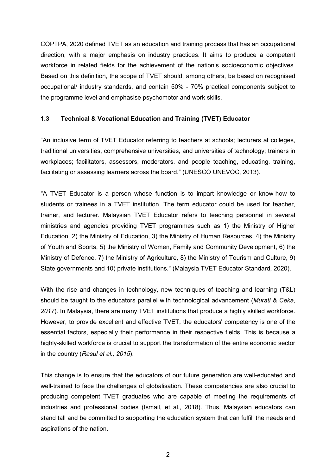COPTPA, 2020 defined TVET as an education and training process that has an occupational direction, with a major emphasis on industry practices. It aims to produce a competent workforce in related fields for the achievement of the nation's socioeconomic objectives. Based on this definition, the scope of TVET should, among others, be based on recognised occupational/ industry standards, and contain 50% - 70% practical components subject to the programme level and emphasise psychomotor and work skills.

#### **1.3 Technical & Vocational Education and Training (TVET) Educator**

"An inclusive term of TVET Educator referring to teachers at schools; lecturers at colleges, traditional universities, comprehensive universities, and universities of technology; trainers in workplaces; facilitators, assessors, moderators, and people teaching, educating, training, facilitating or assessing learners across the board." (UNESCO UNEVOC, 2013).

"A TVET Educator is a person whose function is to impart knowledge or know-how to students or trainees in a TVET institution. The term educator could be used for teacher, trainer, and lecturer. Malaysian TVET Educator refers to teaching personnel in several ministries and agencies providing TVET programmes such as 1) the Ministry of Higher Education, 2) the Ministry of Education, 3) the Ministry of Human Resources, 4) the Ministry of Youth and Sports, 5) the Ministry of Women, Family and Community Development, 6) the Ministry of Defence, 7) the Ministry of Agriculture, 8) the Ministry of Tourism and Culture, 9) State governments and 10) private institutions." (Malaysia TVET Educator Standard, 2020).

With the rise and changes in technology, new techniques of teaching and learning (T&L) should be taught to the educators parallel with technological advancement (*Murati & Ceka*, *2017*). In Malaysia, there are many TVET institutions that produce a highly skilled workforce. However, to provide excellent and effective TVET, the educators' competency is one of the essential factors, especially their performance in their respective fields. This is because a highly-skilled workforce is crucial to support the transformation of the entire economic sector in the country (*Rasul et al., 2015*).

This change is to ensure that the educators of our future generation are well-educated and well-trained to face the challenges of globalisation. These competencies are also crucial to producing competent TVET graduates who are capable of meeting the requirements of industries and professional bodies (Ismail, et al., 2018). Thus, Malaysian educators can stand tall and be committed to supporting the education system that can fulfill the needs and aspirations of the nation.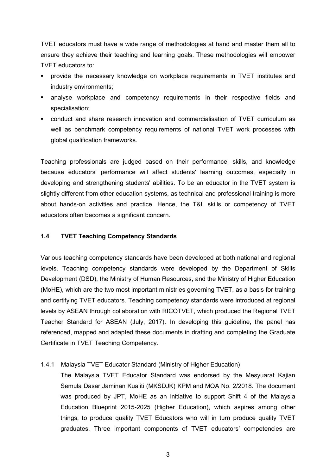TVET educators must have a wide range of methodologies at hand and master them all to ensure they achieve their teaching and learning goals. These methodologies will empower TVET educators to:

- provide the necessary knowledge on workplace requirements in TVET institutes and industry environments;
- analyse workplace and competency requirements in their respective fields and specialisation;
- conduct and share research innovation and commercialisation of TVET curriculum as well as benchmark competency requirements of national TVET work processes with global qualification frameworks.

Teaching professionals are judged based on their performance, skills, and knowledge because educators' performance will affect students' learning outcomes, especially in developing and strengthening students' abilities. To be an educator in the TVET system is slightly different from other education systems, as technical and professional training is more about hands-on activities and practice. Hence, the T&L skills or competency of TVET educators often becomes a significant concern.

#### **1.4 TVET Teaching Competency Standards**

Various teaching competency standards have been developed at both national and regional levels. Teaching competency standards were developed by the Department of Skills Development (DSD), the Ministry of Human Resources, and the Ministry of Higher Education (MoHE), which are the two most important ministries governing TVET, as a basis for training and certifying TVET educators. Teaching competency standards were introduced at regional levels by ASEAN through collaboration with RICOTVET, which produced the Regional TVET Teacher Standard for ASEAN (July, 2017). In developing this guideline, the panel has referenced, mapped and adapted these documents in drafting and completing the Graduate Certificate in TVET Teaching Competency.

#### 1.4.1 Malaysia TVET Educator Standard (Ministry of Higher Education)

The Malaysia TVET Educator Standard was endorsed by the Mesyuarat Kajian Semula Dasar Jaminan Kualiti (MKSDJK) KPM and MQA No. 2/2018. The document was produced by JPT, MoHE as an initiative to support Shift 4 of the Malaysia Education Blueprint 2015-2025 (Higher Education), which aspires among other things, to produce quality TVET Educators who will in turn produce quality TVET graduates. Three important components of TVET educators' competencies are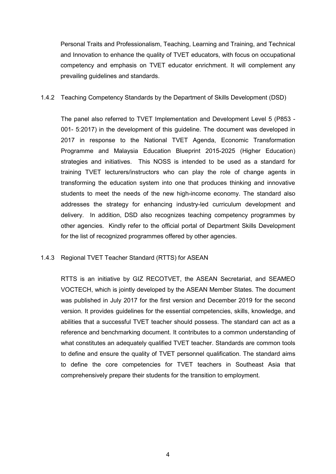Personal Traits and Professionalism, Teaching, Learning and Training, and Technical and Innovation to enhance the quality of TVET educators, with focus on occupational competency and emphasis on TVET educator enrichment. It will complement any prevailing guidelines and standards.

1.4.2 Teaching Competency Standards by the Department of Skills Development (DSD)

The panel also referred to TVET Implementation and Development Level 5 (P853 - 001- 5:2017) in the development of this guideline. The document was developed in 2017 in response to the National TVET Agenda, Economic Transformation Programme and Malaysia Education Blueprint 2015-2025 (Higher Education) strategies and initiatives. This NOSS is intended to be used as a standard for training TVET lecturers/instructors who can play the role of change agents in transforming the education system into one that produces thinking and innovative students to meet the needs of the new high-income economy. The standard also addresses the strategy for enhancing industry-led curriculum development and delivery. In addition, DSD also recognizes teaching competency programmes by other agencies. Kindly refer to the official portal of Department Skills Development for the list of recognized programmes offered by other agencies.

#### 1.4.3 Regional TVET Teacher Standard (RTTS) for ASEAN

RTTS is an initiative by GIZ RECOTVET, the ASEAN Secretariat, and SEAMEO VOCTECH, which is jointly developed by the ASEAN Member States. The document was published in July 2017 for the first version and December 2019 for the second version. It provides guidelines for the essential competencies, skills, knowledge, and abilities that a successful TVET teacher should possess. The standard can act as a reference and benchmarking document. It contributes to a common understanding of what constitutes an adequately qualified TVET teacher. Standards are common tools to define and ensure the quality of TVET personnel qualification. The standard aims to define the core competencies for TVET teachers in Southeast Asia that comprehensively prepare their students for the transition to employment.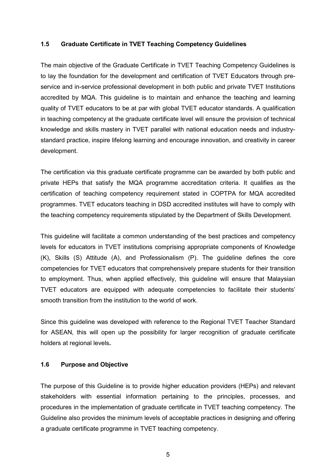#### **1.5 Graduate Certificate in TVET Teaching Competency Guidelines**

The main objective of the Graduate Certificate in TVET Teaching Competency Guidelines is to lay the foundation for the development and certification of TVET Educators through preservice and in-service professional development in both public and private TVET Institutions accredited by MQA. This guideline is to maintain and enhance the teaching and learning quality of TVET educators to be at par with global TVET educator standards. A qualification in teaching competency at the graduate certificate level will ensure the provision of technical knowledge and skills mastery in TVET parallel with national education needs and industrystandard practice, inspire lifelong learning and encourage innovation, and creativity in career development.

The certification via this graduate certificate programme can be awarded by both public and private HEPs that satisfy the MQA programme accreditation criteria. It qualifies as the certification of teaching competency requirement stated in COPTPA for MQA accredited programmes. TVET educators teaching in DSD accredited institutes will have to comply with the teaching competency requirements stipulated by the Department of Skills Development.

This guideline will facilitate a common understanding of the best practices and competency levels for educators in TVET institutions comprising appropriate components of Knowledge (K), Skills (S) Attitude (A), and Professionalism (P). The guideline defines the core competencies for TVET educators that comprehensively prepare students for their transition to employment. Thus, when applied effectively, this guideline will ensure that Malaysian TVET educators are equipped with adequate competencies to facilitate their students' smooth transition from the institution to the world of work.

Since this guideline was developed with reference to the Regional TVET Teacher Standard for ASEAN, this will open up the possibility for larger recognition of graduate certificate holders at regional levels**.** 

#### **1.6 Purpose and Objective**

The purpose of this Guideline is to provide higher education providers (HEPs) and relevant stakeholders with essential information pertaining to the principles, processes, and procedures in the implementation of graduate certificate in TVET teaching competency. The Guideline also provides the minimum levels of acceptable practices in designing and offering a graduate certificate programme in TVET teaching competency.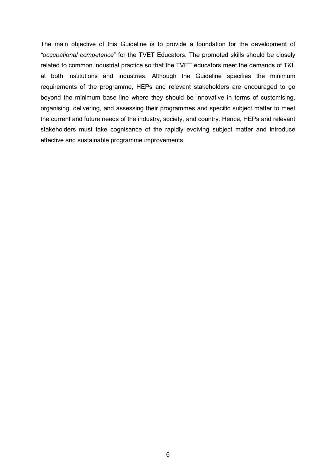The main objective of this Guideline is to provide a foundation for the development of *"occupational competence*" for the TVET Educators. The promoted skills should be closely related to common industrial practice so that the TVET educators meet the demands of T&L at both institutions and industries. Although the Guideline specifies the minimum requirements of the programme, HEPs and relevant stakeholders are encouraged to go beyond the minimum base line where they should be innovative in terms of customising, organising, delivering, and assessing their programmes and specific subject matter to meet the current and future needs of the industry, society, and country. Hence, HEPs and relevant stakeholders must take cognisance of the rapidly evolving subject matter and introduce effective and sustainable programme improvements.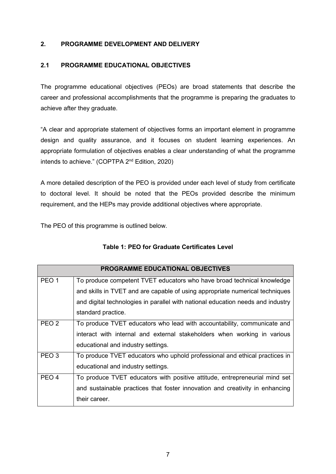#### **2. PROGRAMME DEVELOPMENT AND DELIVERY**

#### **2.1 PROGRAMME EDUCATIONAL OBJECTIVES**

The programme educational objectives (PEOs) are broad statements that describe the career and professional accomplishments that the programme is preparing the graduates to achieve after they graduate.

"A clear and appropriate statement of objectives forms an important element in programme design and quality assurance, and it focuses on student learning experiences. An appropriate formulation of objectives enables a clear understanding of what the programme intends to achieve." (COPTPA 2<sup>nd</sup> Edition, 2020)

A more detailed description of the PEO is provided under each level of study from certificate to doctoral level. It should be noted that the PEOs provided describe the minimum requirement, and the HEPs may provide additional objectives where appropriate.

The PEO of this programme is outlined below.

|                  | PROGRAMME EDUCATIONAL OBJECTIVES                                                |
|------------------|---------------------------------------------------------------------------------|
| PEO <sub>1</sub> | To produce competent TVET educators who have broad technical knowledge          |
|                  | and skills in TVET and are capable of using appropriate numerical techniques    |
|                  | and digital technologies in parallel with national education needs and industry |
|                  | standard practice.                                                              |
| PEO <sub>2</sub> | To produce TVET educators who lead with accountability, communicate and         |
|                  | interact with internal and external stakeholders when working in various        |
|                  | educational and industry settings.                                              |
| PEO <sub>3</sub> | To produce TVET educators who uphold professional and ethical practices in      |
|                  | educational and industry settings.                                              |
| PEO <sub>4</sub> | To produce TVET educators with positive attitude, entrepreneurial mind set      |
|                  | and sustainable practices that foster innovation and creativity in enhancing    |
|                  | their career.                                                                   |

#### **Table 1: PEO for Graduate Certificates Level**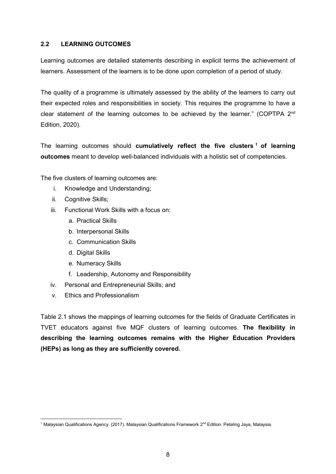#### **2.2 LEARNING OUTCOMES**

Learning outcomes are detailed statements describing in explicit terms the achievement of learners. Assessment of the learners is to be done upon completion of a period of study.

The quality of a programme is ultimately assessed by the ability of the learners to carry out their expected roles and responsibilities in society. This requires the programme to have a clear statement of the learning outcomes to be achieved by the learner." (COPTPA 2<sup>nd</sup> Edition, 2020).

The learning outcomes should **cumulatively reflect the five clusters [1](#page-12-0) of learning outcomes** meant to develop well-balanced individuals with a holistic set of competencies.

The five clusters of learning outcomes are:

- i. Knowledge and Understanding;
- ii. Cognitive Skills;
- iii. Functional Work Skills with a focus on:
	- a. Practical Skills
	- b. Interpersonal Skills
	- c. Communication Skills
	- d. Digital Skills
	- e. Numeracy Skills
	- f. Leadership, Autonomy and Responsibility
- iv. Personal and Entrepreneurial Skills; and
- v. Ethics and Professionalism

Table 2.1 shows the mappings of learning outcomes for the fields of Graduate Certificates in TVET educators against five MQF clusters of learning outcomes. **The flexibility in describing the learning outcomes remains with the Higher Education Providers (HEPs) as long as they are sufficiently covered.**

<span id="page-12-0"></span>**<sup>.</sup>**  $^1$  Malaysian Qualifications Agency. (2017). Malaysian Qualifications Framework 2nd Edition. Petaling Jaya, Malaysia.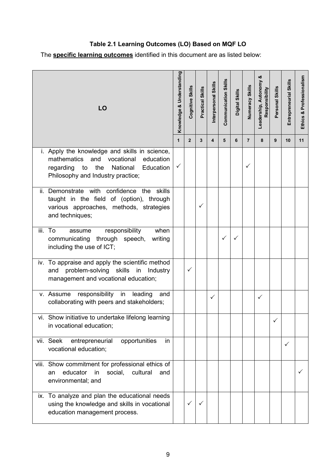# **Table 2.1 Learning Outcomes (LO) Based on MQF LO**

The **specific learning outcomes** identified in this document are as listed below:

| LO |                                                                                                                                                                                        |              | Cognitive Skills | <b>Practical Skills</b> | Interpersonal Skills | <b>Communication Skills</b> | Digital Skills | Numeracy Skills | Leadership, Autonomy &<br>Responsibility | Personal Skills | Entrepreneurial Skills | Professionalism<br>Ethics & |
|----|----------------------------------------------------------------------------------------------------------------------------------------------------------------------------------------|--------------|------------------|-------------------------|----------------------|-----------------------------|----------------|-----------------|------------------------------------------|-----------------|------------------------|-----------------------------|
|    |                                                                                                                                                                                        | $\mathbf{1}$ | $\overline{2}$   | 3                       | 4                    | 5                           | 6              | $\overline{7}$  | 8                                        | 9               | 10                     | 11                          |
|    | i. Apply the knowledge and skills in science,<br>and<br>vocational<br>mathematics<br>education<br>National<br>Education<br>regarding<br>to<br>the<br>Philosophy and Industry practice; | ✓            |                  |                         |                      |                             |                | $\checkmark$    |                                          |                 |                        |                             |
|    | ii. Demonstrate with confidence the skills<br>taught in the field of (option), through<br>various approaches, methods, strategies<br>and techniques;                                   |              |                  | ✓                       |                      |                             |                |                 |                                          |                 |                        |                             |
|    | iii. To<br>responsibility<br>when<br>assume<br>communicating through speech,<br>writing<br>including the use of ICT;                                                                   |              |                  |                         |                      | $\checkmark$                | ✓              |                 |                                          |                 |                        |                             |
|    | iv. To appraise and apply the scientific method<br>problem-solving skills<br>in<br>Industry<br>and<br>management and vocational education;                                             |              | $\checkmark$     |                         |                      |                             |                |                 |                                          |                 |                        |                             |
|    | v. Assume responsibility in<br>leading<br>and<br>collaborating with peers and stakeholders;                                                                                            |              |                  |                         | ✓                    |                             |                |                 | ✓                                        |                 |                        |                             |
|    | vi. Show initiative to undertake lifelong learning<br>in vocational education;                                                                                                         |              |                  |                         |                      |                             |                |                 |                                          | ✓               |                        |                             |
|    | vii. Seek<br>opportunities<br>entrepreneurial<br>in<br>vocational education;                                                                                                           |              |                  |                         |                      |                             |                |                 |                                          |                 | $\checkmark$           |                             |
|    | viii. Show commitment for professional ethics of<br>educator<br>in<br>social, cultural<br>and<br>an<br>environmental; and                                                              |              |                  |                         |                      |                             |                |                 |                                          |                 |                        |                             |
|    | ix. To analyze and plan the educational needs<br>using the knowledge and skills in vocational<br>education management process.                                                         |              | $\checkmark$     |                         |                      |                             |                |                 |                                          |                 |                        |                             |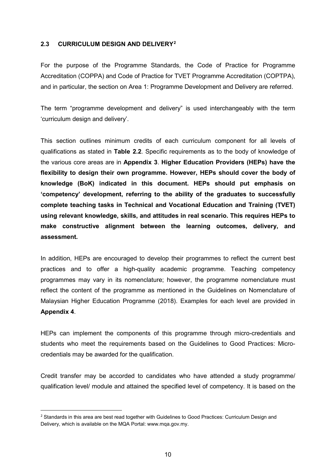#### **2.3 CURRICULUM DESIGN AND DELIVERY[2](#page-14-0)**

For the purpose of the Programme Standards, the Code of Practice for Programme Accreditation (COPPA) and Code of Practice for TVET Programme Accreditation (COPTPA), and in particular, the section on Area 1: Programme Development and Delivery are referred.

The term "programme development and delivery" is used interchangeably with the term 'curriculum design and delivery'.

This section outlines minimum credits of each curriculum component for all levels of qualifications as stated in **Table 2.2**. Specific requirements as to the body of knowledge of the various core areas are in **Appendix 3**. **Higher Education Providers (HEPs) have the flexibility to design their own programme. However, HEPs should cover the body of knowledge (BoK) indicated in this document. HEPs should put emphasis on 'competency' development, referring to the ability of the graduates to successfully complete teaching tasks in Technical and Vocational Education and Training (TVET) using relevant knowledge, skills, and attitudes in real scenario. This requires HEPs to make constructive alignment between the learning outcomes, delivery, and assessment.**

In addition, HEPs are encouraged to develop their programmes to reflect the current best practices and to offer a high-quality academic programme. Teaching competency programmes may vary in its nomenclature; however, the programme nomenclature must reflect the content of the programme as mentioned in the Guidelines on Nomenclature of Malaysian Higher Education Programme (2018). Examples for each level are provided in **Appendix 4**.

HEPs can implement the components of this programme through micro-credentials and students who meet the requirements based on the Guidelines to Good Practices: Microcredentials may be awarded for the qualification.

Credit transfer may be accorded to candidates who have attended a study programme/ qualification level/ module and attained the specified level of competency. It is based on the

<span id="page-14-0"></span><sup>&</sup>lt;sup>2</sup> Standards in this area are best read together with Guidelines to Good Practices: Curriculum Design and Delivery, which is available on the MQA Portal: www.mqa.gov.my.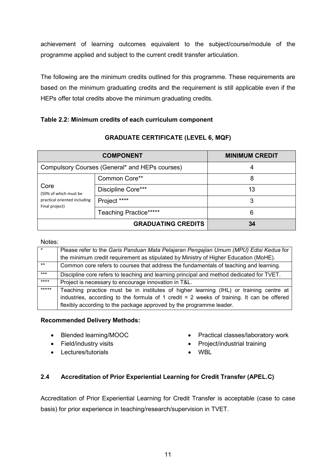achievement of learning outcomes equivalent to the subject/course/module of the programme applied and subject to the current credit transfer articulation.

The following are the minimum credits outlined for this programme. These requirements are based on the minimum graduating credits and the requirement is still applicable even if the HEPs offer total credits above the minimum graduating credits.

#### **Table 2.2: Minimum credits of each curriculum component**

|                                                | <b>COMPONENT</b>              | <b>MINIMUM CREDIT</b> |
|------------------------------------------------|-------------------------------|-----------------------|
| Compulsory Courses (General* and HEPs courses) | 4                             |                       |
|                                                | Common Core**                 | 8                     |
| Core<br>(50% of which must be                  | Discipline Core***            | 13                    |
| practical oriented including<br>Final project) | Project ****                  | 3                     |
|                                                | <b>Teaching Practice*****</b> | 6                     |
|                                                | <b>GRADUATING CREDITS</b>     | 34                    |

#### **GRADUATE CERTIFICATE (LEVEL 6, MQF)**

#### Notes:

|         | Please refer to the Garis Panduan Mata Pelajaran Pengajian Umum (MPU) Edisi Kedua for                                                                                                                                                                        |
|---------|--------------------------------------------------------------------------------------------------------------------------------------------------------------------------------------------------------------------------------------------------------------|
|         | the minimum credit requirement as stipulated by Ministry of Higher Education (MoHE).                                                                                                                                                                         |
| $***$   | Common core refers to courses that address the fundamentals of teaching and learning.                                                                                                                                                                        |
| $***$   | Discipline core refers to teaching and learning principal and method dedicated for TVET.                                                                                                                                                                     |
| $****$  | Project is necessary to encourage innovation in T&L.                                                                                                                                                                                                         |
| $*****$ | Teaching practice must be in institutes of higher learning (IHL) or training centre at<br>industries, according to the formula of 1 credit $= 2$ weeks of training. It can be offered<br>flexibly according to the package approved by the programme leader. |

#### **Recommended Delivery Methods:**

- Blended learning/MOOC
- Field/industry visits
- Lectures/tutorials
- Practical classes/laboratory work
- Project/industrial training
- WBL

#### **2.4 Accreditation of Prior Experiential Learning for Credit Transfer (APEL.C)**

Accreditation of Prior Experiential Learning for Credit Transfer is acceptable (case to case basis) for prior experience in teaching/research/supervision in TVET.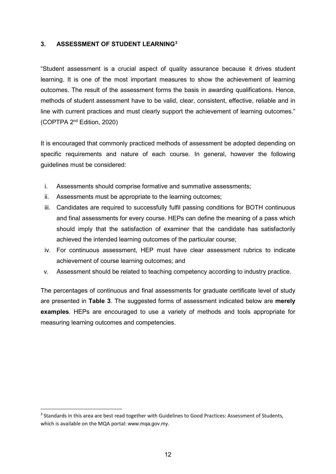#### **3. ASSESSMENT OF STUDENT LEARNING[3](#page-16-0)**

"Student assessment is a crucial aspect of quality assurance because it drives student learning. It is one of the most important measures to show the achievement of learning outcomes. The result of the assessment forms the basis in awarding qualifications. Hence, methods of student assessment have to be valid, clear, consistent, effective, reliable and in line with current practices and must clearly support the achievement of learning outcomes." (COPTPA 2nd Edition, 2020)

It is encouraged that commonly practiced methods of assessment be adopted depending on specific requirements and nature of each course. In general, however the following guidelines must be considered:

- i. Assessments should comprise formative and summative assessments;
- ii. Assessments must be appropriate to the learning outcomes;
- iii. Candidates are required to successfully fulfil passing conditions for BOTH continuous and final assessments for every course. HEPs can define the meaning of a pass which should imply that the satisfaction of examiner that the candidate has satisfactorily achieved the intended learning outcomes of the particular course;
- iv. For continuous assessment, HEP must have clear assessment rubrics to indicate achievement of course learning outcomes; and
- v. Assessment should be related to teaching competency according to industry practice.

The percentages of continuous and final assessments for graduate certificate level of study are presented in **Table 3**. The suggested forms of assessment indicated below are **merely examples**. HEPs are encouraged to use a variety of methods and tools appropriate for measuring learning outcomes and competencies.

<span id="page-16-0"></span><sup>&</sup>lt;sup>3</sup> Standards in this area are best read together with Guidelines to Good Practices: Assessment of Students, which is available on the MQA portal: www.mqa.gov.my.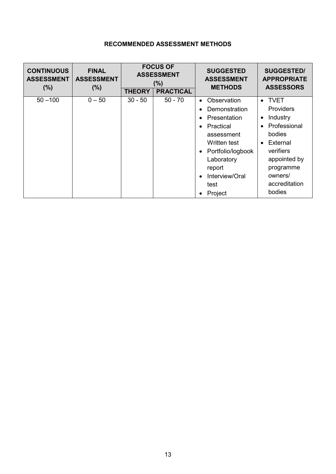# **RECOMMENDED ASSESSMENT METHODS**

| <b>CONTINUOUS</b><br><b>ASSESSMENT</b><br>(% ) | <b>FINAL</b><br><b>ASSESSMENT</b><br>(% ) | <b>FOCUS OF</b><br><b>ASSESSMENT</b><br>(% ) |                  | <b>SUGGESTED</b><br><b>ASSESSMENT</b><br><b>METHODS</b>                                                                                                                   | <b>SUGGESTED/</b><br><b>APPROPRIATE</b><br><b>ASSESSORS</b>                                                                                                                                         |
|------------------------------------------------|-------------------------------------------|----------------------------------------------|------------------|---------------------------------------------------------------------------------------------------------------------------------------------------------------------------|-----------------------------------------------------------------------------------------------------------------------------------------------------------------------------------------------------|
|                                                |                                           | <b>THEORY</b>                                | <b>PRACTICAL</b> |                                                                                                                                                                           |                                                                                                                                                                                                     |
| $50 - 100$                                     | $0 - 50$                                  | $30 - 50$                                    | $50 - 70$        | Observation<br>Demonstration<br>Presentation<br>Practical<br>assessment<br>Written test<br>Portfolio/logbook<br>Laboratory<br>report<br>Interview/Oral<br>test<br>Project | • TVET<br><b>Providers</b><br>Industry<br>$\bullet$<br>Professional<br>$\bullet$<br>bodies<br>External<br>$\bullet$<br>verifiers<br>appointed by<br>programme<br>owners/<br>accreditation<br>bodies |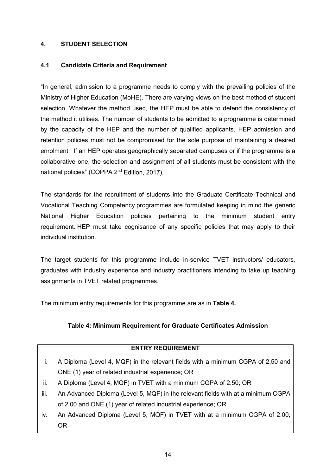#### **4. STUDENT SELECTION**

#### **4.1 Candidate Criteria and Requirement**

"In general, admission to a programme needs to comply with the prevailing policies of the Ministry of Higher Education (MoHE). There are varying views on the best method of student selection. Whatever the method used, the HEP must be able to defend the consistency of the method it utilises. The number of students to be admitted to a programme is determined by the capacity of the HEP and the number of qualified applicants. HEP admission and retention policies must not be compromised for the sole purpose of maintaining a desired enrolment. If an HEP operates geographically separated campuses or if the programme is a collaborative one, the selection and assignment of all students must be consistent with the national policies" (COPPA 2<sup>nd</sup> Edition, 2017).

The standards for the recruitment of students into the Graduate Certificate Technical and Vocational Teaching Competency programmes are formulated keeping in mind the generic National Higher Education policies pertaining to the minimum student entry requirement. HEP must take cognisance of any specific policies that may apply to their individual institution.

The target students for this programme include in-service TVET instructors/ educators, graduates with industry experience and industry practitioners intending to take up teaching assignments in TVET related programmes.

The minimum entry requirements for this programme are as in **Table 4.**

#### **Table 4: Minimum Requirement for Graduate Certificates Admission**

| <b>ENTRY REQUIREMENT</b> |                                                                                  |  |  |  |  |
|--------------------------|----------------------------------------------------------------------------------|--|--|--|--|
| i.                       | A Diploma (Level 4, MQF) in the relevant fields with a minimum CGPA of 2.50 and  |  |  |  |  |
|                          | ONE (1) year of related industrial experience; OR                                |  |  |  |  |
| ii.                      | A Diploma (Level 4, MQF) in TVET with a minimum CGPA of 2.50; OR                 |  |  |  |  |
| iii.                     | An Advanced Diploma (Level 5, MQF) in the relevant fields with at a minimum CGPA |  |  |  |  |
|                          | of 2.00 and ONE (1) year of related industrial experience; OR                    |  |  |  |  |
| iv.                      | An Advanced Diploma (Level 5, MQF) in TVET with at a minimum CGPA of 2.00;       |  |  |  |  |
|                          | 0R                                                                               |  |  |  |  |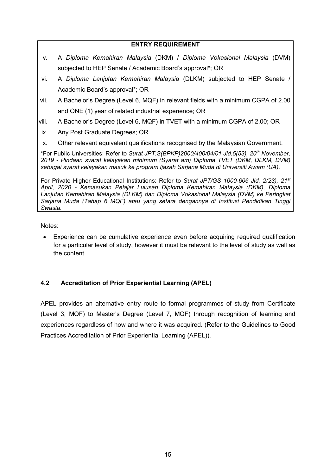# **ENTRY REQUIREMENT** v. A *Diploma Kemahiran Malaysia* (DKM) / *Diploma Vokasional Malaysia* (DVM) subjected to HEP Senate / Academic Board's approval\*; OR vi. A *Diploma Lanjutan Kemahiran Malaysia* (DLKM) subjected to HEP Senate / Academic Board's approval\*; OR vii. A Bachelor's Degree (Level 6, MQF) in relevant fields with a minimum CGPA of 2.00 and ONE (1) year of related industrial experience; OR viii. A Bachelor's Degree (Level 6, MQF) in TVET with a minimum CGPA of 2.00; OR ix. Any Post Graduate Degrees; OR x. Other relevant equivalent qualifications recognised by the Malaysian Government.

\*For Public Universities: Refer to *Surat JPT.S(BPKP)2000/400/04/01 Jld.5(53), 20th November, 2019 - Pindaan syarat kelayakan minimum (Syarat am) Diploma TVET (DKM, DLKM, DVM) sebagai syarat kelayakan masuk ke program Ijazah Sarjana Muda di Universiti Awam (UA).*

For Private Higher Educational Institutions: Refer to *Surat JPT/GS 1000-606 Jld. 2(23), 21st April, 2020 - Kemasukan Pelajar Lulusan Diploma Kemahiran Malaysia (DKM), Diploma Lanjutan Kemahiran Malaysia (DLKM) dan Diploma Vokasional Malaysia (DVM) ke Peringkat Sarjana Muda (Tahap 6 MQF) atau yang setara dengannya di Institusi Pendidikan Tinggi Swasta.*

Notes:

• Experience can be cumulative experience even before acquiring required qualification for a particular level of study, however it must be relevant to the level of study as well as the content.

## **4.2 Accreditation of Prior Experiential Learning (APEL)**

APEL provides an alternative entry route to formal programmes of study from Certificate (Level 3, MQF) to Master's Degree (Level 7, MQF) through recognition of learning and experiences regardless of how and where it was acquired. (Refer to the Guidelines to Good Practices Accreditation of Prior Experiential Learning (APEL)).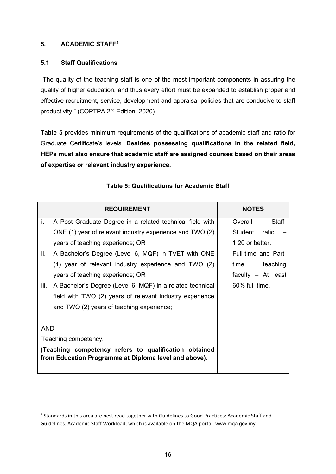#### **5. ACADEMIC STAFF[4](#page-20-0)**

#### **5.1 Staff Qualifications**

"The quality of the teaching staff is one of the most important components in assuring the quality of higher education, and thus every effort must be expanded to establish proper and effective recruitment, service, development and appraisal policies that are conducive to staff productivity." (COPTPA 2<sup>nd</sup> Edition, 2020).

**Table 5** provides minimum requirements of the qualifications of academic staff and ratio for Graduate Certificate's levels. **Besides possessing qualifications in the related field, HEPs must also ensure that academic staff are assigned courses based on their areas of expertise or relevant industry experience.** 

|                      | <b>REQUIREMENT</b>                                                                                             |  | <b>NOTES</b>         |
|----------------------|----------------------------------------------------------------------------------------------------------------|--|----------------------|
| j.                   | A Post Graduate Degree in a related technical field with                                                       |  | Overall<br>Staff-    |
|                      | ONE (1) year of relevant industry experience and TWO (2)                                                       |  | Student ratio        |
|                      | years of teaching experience; OR                                                                               |  | $1:20$ or better.    |
| ii.                  | A Bachelor's Degree (Level 6, MQF) in TVET with ONE                                                            |  | Full-time and Part-  |
|                      | (1) year of relevant industry experience and TWO (2)                                                           |  | time<br>teaching     |
|                      | years of teaching experience; OR                                                                               |  | faculty $-$ At least |
| iii.                 | A Bachelor's Degree (Level 6, MQF) in a related technical                                                      |  | 60% full-time.       |
|                      | field with TWO (2) years of relevant industry experience                                                       |  |                      |
|                      | and TWO (2) years of teaching experience;                                                                      |  |                      |
|                      |                                                                                                                |  |                      |
| <b>AND</b>           |                                                                                                                |  |                      |
| Teaching competency. |                                                                                                                |  |                      |
|                      | (Teaching competency refers to qualification obtained<br>from Education Programme at Diploma level and above). |  |                      |

#### **Table 5: Qualifications for Academic Staff**

<span id="page-20-0"></span> <sup>4</sup> Standards in this area are best read together with Guidelines to Good Practices: Academic Staff and Guidelines: Academic Staff Workload, which is available on the MQA portal: www.mqa.gov.my.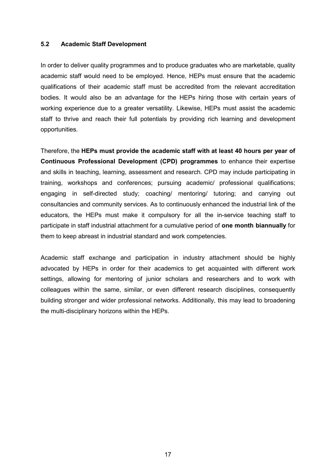#### **5.2 Academic Staff Development**

In order to deliver quality programmes and to produce graduates who are marketable, quality academic staff would need to be employed. Hence, HEPs must ensure that the academic qualifications of their academic staff must be accredited from the relevant accreditation bodies. It would also be an advantage for the HEPs hiring those with certain years of working experience due to a greater versatility. Likewise, HEPs must assist the academic staff to thrive and reach their full potentials by providing rich learning and development opportunities.

Therefore, the **HEPs must provide the academic staff with at least 40 hours per year of Continuous Professional Development (CPD) programmes** to enhance their expertise and skills in teaching, learning, assessment and research. CPD may include participating in training, workshops and conferences; pursuing academic/ professional qualifications; engaging in self-directed study; coaching/ mentoring/ tutoring; and carrying out consultancies and community services. As to continuously enhanced the industrial link of the educators, the HEPs must make it compulsory for all the in-service teaching staff to participate in staff industrial attachment for a cumulative period of **one month biannually** for them to keep abreast in industrial standard and work competencies.

Academic staff exchange and participation in industry attachment should be highly advocated by HEPs in order for their academics to get acquainted with different work settings, allowing for mentoring of junior scholars and researchers and to work with colleagues within the same, similar, or even different research disciplines, consequently building stronger and wider professional networks. Additionally, this may lead to broadening the multi-disciplinary horizons within the HEPs.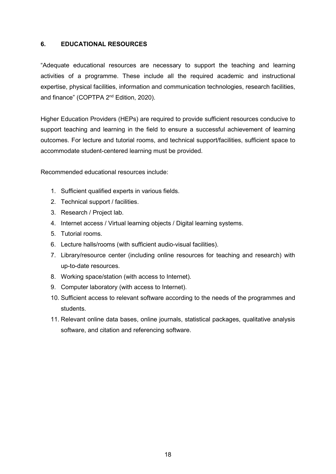#### **6. EDUCATIONAL RESOURCES**

"Adequate educational resources are necessary to support the teaching and learning activities of a programme. These include all the required academic and instructional expertise, physical facilities, information and communication technologies, research facilities, and finance" (COPTPA 2<sup>nd</sup> Edition, 2020).

Higher Education Providers (HEPs) are required to provide sufficient resources conducive to support teaching and learning in the field to ensure a successful achievement of learning outcomes. For lecture and tutorial rooms, and technical support/facilities, sufficient space to accommodate student-centered learning must be provided.

Recommended educational resources include:

- 1. Sufficient qualified experts in various fields.
- 2. Technical support / facilities.
- 3. Research / Project lab.
- 4. Internet access / Virtual learning objects / Digital learning systems.
- 5. Tutorial rooms.
- 6. Lecture halls/rooms (with sufficient audio-visual facilities).
- 7. Library/resource center (including online resources for teaching and research) with up-to-date resources.
- 8. Working space/station (with access to Internet).
- 9. Computer laboratory (with access to Internet).
- 10. Sufficient access to relevant software according to the needs of the programmes and students.
- 11. Relevant online data bases, online journals, statistical packages, qualitative analysis software, and citation and referencing software.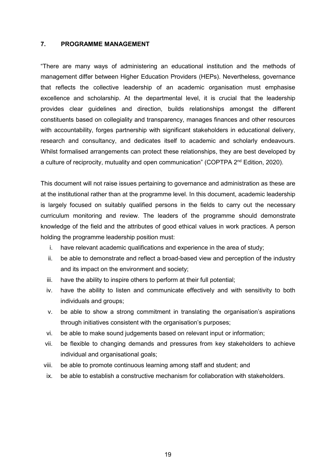#### **7. PROGRAMME MANAGEMENT**

"There are many ways of administering an educational institution and the methods of management differ between Higher Education Providers (HEPs). Nevertheless, governance that reflects the collective leadership of an academic organisation must emphasise excellence and scholarship. At the departmental level, it is crucial that the leadership provides clear guidelines and direction, builds relationships amongst the different constituents based on collegiality and transparency, manages finances and other resources with accountability, forges partnership with significant stakeholders in educational delivery, research and consultancy, and dedicates itself to academic and scholarly endeavours. Whilst formalised arrangements can protect these relationships, they are best developed by a culture of reciprocity, mutuality and open communication" (COPTPA 2<sup>nd</sup> Edition, 2020).

This document will not raise issues pertaining to governance and administration as these are at the institutional rather than at the programme level. In this document, academic leadership is largely focused on suitably qualified persons in the fields to carry out the necessary curriculum monitoring and review. The leaders of the programme should demonstrate knowledge of the field and the attributes of good ethical values in work practices. A person holding the programme leadership position must:

- i. have relevant academic qualifications and experience in the area of study;
- ii. be able to demonstrate and reflect a broad-based view and perception of the industry and its impact on the environment and society;
- iii. have the ability to inspire others to perform at their full potential;
- iv. have the ability to listen and communicate effectively and with sensitivity to both individuals and groups;
- v. be able to show a strong commitment in translating the organisation's aspirations through initiatives consistent with the organisation's purposes;
- vi. be able to make sound judgements based on relevant input or information;
- vii. be flexible to changing demands and pressures from key stakeholders to achieve individual and organisational goals;
- viii. be able to promote continuous learning among staff and student; and
- ix. be able to establish a constructive mechanism for collaboration with stakeholders.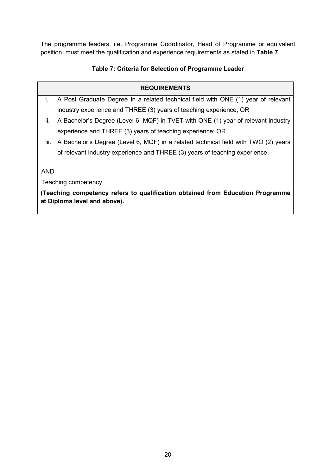The programme leaders, i.e. Programme Coordinator, Head of Programme or equivalent position, must meet the qualification and experience requirements as stated in **Table 7**.

### **Table 7: Criteria for Selection of Programme Leader**

#### **REQUIREMENTS**

- i. A Post Graduate Degree in a related technical field with ONE (1) year of relevant industry experience and THREE (3) years of teaching experience; OR
- ii. A Bachelor's Degree (Level 6, MQF) in TVET with ONE (1) year of relevant industry experience and THREE (3) years of teaching experience; OR
- iii. A Bachelor's Degree (Level 6, MQF) in a related technical field with TWO (2) years of relevant industry experience and THREE (3) years of teaching experience.

AND

Teaching competency.

**(Teaching competency refers to qualification obtained from Education Programme at Diploma level and above).**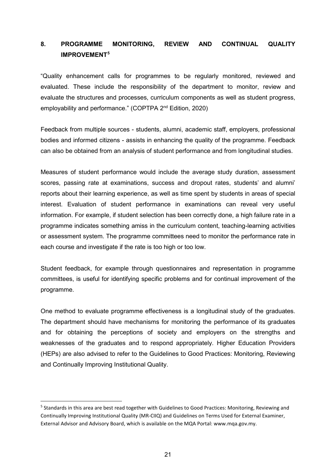# **8. PROGRAMME MONITORING, REVIEW AND CONTINUAL QUALITY IMPROVEMENT[5](#page-25-0)**

"Quality enhancement calls for programmes to be regularly monitored, reviewed and evaluated. These include the responsibility of the department to monitor, review and evaluate the structures and processes, curriculum components as well as student progress, employability and performance." (COPTPA 2<sup>nd</sup> Edition, 2020)

Feedback from multiple sources - students, alumni, academic staff, employers, professional bodies and informed citizens - assists in enhancing the quality of the programme. Feedback can also be obtained from an analysis of student performance and from longitudinal studies.

Measures of student performance would include the average study duration, assessment scores, passing rate at examinations, success and dropout rates, students' and alumni' reports about their learning experience, as well as time spent by students in areas of special interest. Evaluation of student performance in examinations can reveal very useful information. For example, if student selection has been correctly done, a high failure rate in a programme indicates something amiss in the curriculum content, teaching-learning activities or assessment system. The programme committees need to monitor the performance rate in each course and investigate if the rate is too high or too low.

Student feedback, for example through questionnaires and representation in programme committees, is useful for identifying specific problems and for continual improvement of the programme.

One method to evaluate programme effectiveness is a longitudinal study of the graduates. The department should have mechanisms for monitoring the performance of its graduates and for obtaining the perceptions of society and employers on the strengths and weaknesses of the graduates and to respond appropriately. Higher Education Providers (HEPs) are also advised to refer to the Guidelines to Good Practices: Monitoring, Reviewing and Continually Improving Institutional Quality.

<span id="page-25-0"></span> <sup>5</sup> Standards in this area are best read together with Guidelines to Good Practices: Monitoring, Reviewing and Continually Improving Institutional Quality (MR-CIIQ) and Guidelines on Terms Used for External Examiner, External Advisor and Advisory Board, which is available on the MQA Portal: www.mqa.gov.my.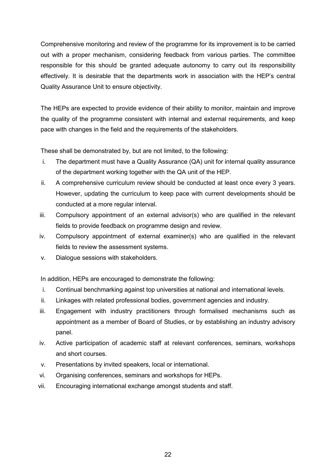Comprehensive monitoring and review of the programme for its improvement is to be carried out with a proper mechanism, considering feedback from various parties. The committee responsible for this should be granted adequate autonomy to carry out its responsibility effectively. It is desirable that the departments work in association with the HEP's central Quality Assurance Unit to ensure objectivity.

The HEPs are expected to provide evidence of their ability to monitor, maintain and improve the quality of the programme consistent with internal and external requirements, and keep pace with changes in the field and the requirements of the stakeholders.

These shall be demonstrated by, but are not limited, to the following:

- i. The department must have a Quality Assurance (QA) unit for internal quality assurance of the department working together with the QA unit of the HEP.
- ii. A comprehensive curriculum review should be conducted at least once every 3 years. However, updating the curriculum to keep pace with current developments should be conducted at a more regular interval.
- iii. Compulsory appointment of an external advisor(s) who are qualified in the relevant fields to provide feedback on programme design and review.
- iv. Compulsory appointment of external examiner(s) who are qualified in the relevant fields to review the assessment systems.
- v. Dialogue sessions with stakeholders.

In addition, HEPs are encouraged to demonstrate the following:

- i. Continual benchmarking against top universities at national and international levels.
- ii. Linkages with related professional bodies, government agencies and industry.
- iii. Engagement with industry practitioners through formalised mechanisms such as appointment as a member of Board of Studies, or by establishing an industry advisory panel.
- iv. Active participation of academic staff at relevant conferences, seminars, workshops and short courses.
- v. Presentations by invited speakers, local or international.
- vi. Organising conferences, seminars and workshops for HEPs.
- vii. Encouraging international exchange amongst students and staff.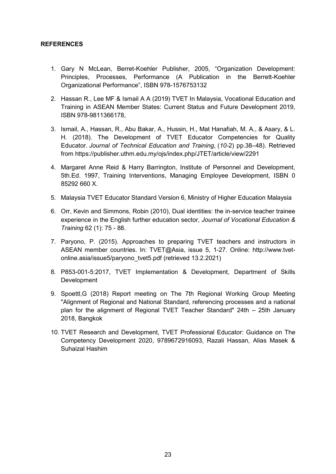#### **REFERENCES**

- 1. Gary N McLean, Berret-Koehler Publisher, 2005, "Organization Development: Principles, Processes, Performance (A Publication in the Berrett-Koehler Organizational Performance", ISBN 978-1576753132
- 2. Hassan R., Lee MF & Ismail A A (2019) TVET In Malaysia, Vocational Education and Training in ASEAN Member States: Current Status and Future Development 2019, ISBN 978-9811366178,
- 3. Ismail, A., Hassan, R., Abu Bakar, A., Hussin, H., Mat Hanafiah, M. A., & Asary, & L. H. (2018). The Development of TVET Educator Competencies for Quality Educator. *Journal of Technical Education and Training*, (*10-*2) pp.38–48). Retrieved from https://publisher.uthm.edu.my/ojs/index.php/JTET/article/view/2291
- 4. Margaret Anne Reid & Harry Barrington, Institute of Personnel and Development, 5th.Ed. 1997, Training Interventions, Managing Employee Development, ISBN 0 85292 660 X.
- 5. Malaysia TVET Educator Standard Version 6, Ministry of Higher Education Malaysia
- 6. Orr, Kevin and Simmons, Robin (2010), Dual identities: the in-service teacher trainee experience in the English further education sector, *Journal of Vocational Education & Training* 62 (1): 75 - 88.
- 7. Paryono, P. (2015). Approaches to preparing TVET teachers and instructors in ASEAN member countries. In: TVET@Asia, issue 5, 1-27. Online: [http://www.tvet](http://www.tvet-online.asia/issue5/paryono_tvet5.pdf)[online.asia/issue5/paryono\\_tvet5.pdf](http://www.tvet-online.asia/issue5/paryono_tvet5.pdf) (retrieved 13.2.2021)
- 8. P853-001-5:2017, TVET Implementation & Development, Department of Skills Development
- 9. Spoettl,G (2018) Report meeting on The 7th Regional Working Group Meeting "Alignment of Regional and National Standard, referencing processes and a national plan for the alignment of Regional TVET Teacher Standard" 24th – 25th January 2018, Bangkok
- 10. TVET Research and Development, TVET Professional Educator: Guidance on The Competency Development 2020, 9789672916093, Razali Hassan, Alias Masek & Suhaizal Hashim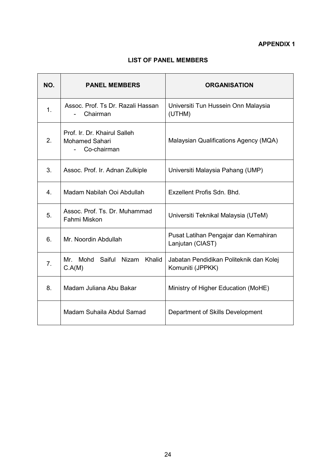# **LIST OF PANEL MEMBERS**

| NO.              | <b>PANEL MEMBERS</b>                                          | <b>ORGANISATION</b>                                         |
|------------------|---------------------------------------------------------------|-------------------------------------------------------------|
| $\mathbf{1}$ .   | Assoc. Prof. Ts Dr. Razali Hassan<br>Chairman                 | Universiti Tun Hussein Onn Malaysia<br>(UTHM)               |
| 2.               | Prof. Ir. Dr. Khairul Salleh<br>Mohamed Sahari<br>Co-chairman | Malaysian Qualifications Agency (MQA)                       |
| 3.               | Assoc. Prof. Ir. Adnan Zulkiple                               | Universiti Malaysia Pahang (UMP)                            |
| $\overline{4}$ . | Madam Nabilah Ooi Abdullah                                    | Exzellent Profis Sdn. Bhd.                                  |
| 5.               | Assoc. Prof. Ts. Dr. Muhammad<br>Fahmi Miskon                 | Universiti Teknikal Malaysia (UTeM)                         |
| 6.               | Mr. Noordin Abdullah                                          | Pusat Latihan Pengajar dan Kemahiran<br>Lanjutan (CIAST)    |
| 7 <sub>1</sub>   | Mr. Mohd Saiful Nizam Khalid<br>C.A(M)                        | Jabatan Pendidikan Politeknik dan Kolej<br>Komuniti (JPPKK) |
| 8.               | Madam Juliana Abu Bakar                                       | Ministry of Higher Education (MoHE)                         |
|                  | Madam Suhaila Abdul Samad                                     | Department of Skills Development                            |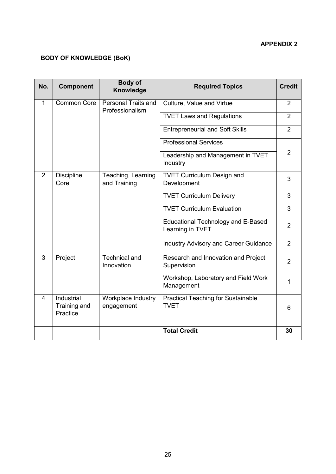### **APPENDIX 2**

# **BODY OF KNOWLEDGE (BoK)**

| No.            | <b>Component</b>                       | <b>Body of</b><br>Knowledge            | <b>Required Topics</b>                                        | <b>Credit</b>  |
|----------------|----------------------------------------|----------------------------------------|---------------------------------------------------------------|----------------|
| $\mathbf{1}$   | <b>Common Core</b>                     | Personal Traits and<br>Professionalism | Culture, Value and Virtue                                     | $\overline{2}$ |
|                |                                        |                                        | <b>TVET Laws and Regulations</b>                              | $\overline{2}$ |
|                |                                        |                                        | <b>Entrepreneurial and Soft Skills</b>                        | $\overline{2}$ |
|                |                                        |                                        | <b>Professional Services</b>                                  |                |
|                |                                        |                                        | Leadership and Management in TVET<br>Industry                 | $\overline{2}$ |
| $\overline{2}$ | <b>Discipline</b><br>Core              | Teaching, Learning<br>and Training     | <b>TVET Curriculum Design and</b><br>Development              | 3              |
|                |                                        |                                        | <b>TVET Curriculum Delivery</b>                               | 3              |
|                |                                        |                                        | <b>TVET Curriculum Evaluation</b>                             | 3              |
|                |                                        |                                        | <b>Educational Technology and E-Based</b><br>Learning in TVET | $\overline{2}$ |
|                |                                        |                                        | <b>Industry Advisory and Career Guidance</b>                  | $\overline{2}$ |
| 3              | Project                                | <b>Technical and</b><br>Innovation     | Research and Innovation and Project<br>Supervision            | $\overline{2}$ |
|                |                                        |                                        | Workshop, Laboratory and Field Work<br>Management             | 1              |
| 4              | Industrial<br>Training and<br>Practice | Workplace Industry<br>engagement       | <b>Practical Teaching for Sustainable</b><br><b>TVET</b>      | $6\phantom{1}$ |
|                |                                        |                                        | <b>Total Credit</b>                                           | 30             |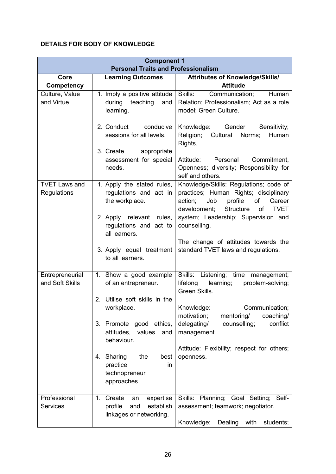# **DETAILS FOR BODY OF KNOWLEDGE**

|                                     | <b>Component 1</b><br><b>Personal Traits and Professionalism</b>                          |                                                                                                                                                                                |
|-------------------------------------|-------------------------------------------------------------------------------------------|--------------------------------------------------------------------------------------------------------------------------------------------------------------------------------|
| Core                                | <b>Learning Outcomes</b>                                                                  | Attributes of Knowledge/Skills/                                                                                                                                                |
| Competency                          |                                                                                           | <b>Attitude</b>                                                                                                                                                                |
| Culture, Value<br>and Virtue        | 1. Imply a positive attitude<br>during teaching<br>and<br>learning.                       | Skills:<br>Human<br>Communication;<br>Relation; Professionalism; Act as a role<br>model; Green Culture.                                                                        |
|                                     | 2. Conduct<br>conducive<br>sessions for all levels.<br>3. Create<br>appropriate           | Knowledge:<br>Gender<br>Sensitivity;<br>Religion;<br>Cultural<br>Norms;<br>Human<br>Rights.                                                                                    |
|                                     | assessment for special<br>needs.                                                          | Attitude:<br>Personal<br>Commitment,<br>Openness; diversity; Responsibility for<br>self and others.                                                                            |
| <b>TVET Laws and</b><br>Regulations | 1. Apply the stated rules,<br>regulations and act in<br>the workplace.                    | Knowledge/Skills: Regulations; code of<br>practices; Human Rights; disciplinary<br>action;<br>Job<br>profile<br>of<br>Career<br>Structure<br>development;<br><b>TVET</b><br>of |
|                                     | 2. Apply relevant rules,<br>regulations and act to<br>all learners.                       | system; Leadership; Supervision and<br>counselling.                                                                                                                            |
|                                     | 3. Apply equal treatment<br>to all learners.                                              | The change of attitudes towards the<br>standard TVET laws and regulations.                                                                                                     |
| Entrepreneurial<br>and Soft Skills  | 1. Show a good example<br>of an entrepreneur.                                             | Skills: Listening; time management;<br>learning;<br>lifelong<br>problem-solving;<br>Green Skills.                                                                              |
|                                     | Utilise soft skills in the<br>2.<br>workplace.                                            | Communication;<br>Knowledge:<br>motivation;<br>mentoring/<br>coaching/                                                                                                         |
|                                     | Promote good ethics,<br>3.<br>attitudes, values<br>and<br>behaviour.                      | delegating/<br>conflict<br>counselling;<br>management.                                                                                                                         |
|                                     | 4. Sharing<br>the<br>best<br>practice<br>in<br>technopreneur<br>approaches.               | Attitude: Flexibility; respect for others;<br>openness.                                                                                                                        |
| Professional<br><b>Services</b>     | Create<br>expertise<br>1.<br>an<br>profile<br>establish<br>and<br>linkages or networking. | Skills: Planning; Goal Setting; Self-<br>assessment; teamwork; negotiator.<br>Knowledge:<br>Dealing with<br>students;                                                          |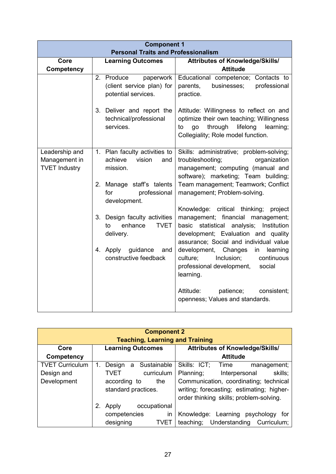|                                                         | <b>Component 1</b>                                                             |                                                                                                                                                                                                                 |  |  |  |  |  |
|---------------------------------------------------------|--------------------------------------------------------------------------------|-----------------------------------------------------------------------------------------------------------------------------------------------------------------------------------------------------------------|--|--|--|--|--|
| <b>Personal Traits and Professionalism</b>              |                                                                                |                                                                                                                                                                                                                 |  |  |  |  |  |
| Core                                                    | <b>Learning Outcomes</b>                                                       | Attributes of Knowledge/Skills/                                                                                                                                                                                 |  |  |  |  |  |
| <b>Competency</b>                                       |                                                                                | <b>Attitude</b>                                                                                                                                                                                                 |  |  |  |  |  |
|                                                         | Produce<br>paperwork<br>2.<br>(client service plan) for<br>potential services. | Educational competence; Contacts to<br>parents,<br>businesses;<br>professional<br>practice.                                                                                                                     |  |  |  |  |  |
|                                                         | 3. Deliver and report the<br>technical/professional<br>services.               | Attitude: Willingness to reflect on and<br>optimize their own teaching; Willingness<br>through<br>lifelong<br>learning;<br>to<br>go<br>Collegiality; Role model function.                                       |  |  |  |  |  |
| Leadership and<br>Management in<br><b>TVET Industry</b> | 1. Plan faculty activities to<br>vision<br>achieve<br>and<br>mission.          | Skills: administrative; problem-solving;<br>troubleshooting;<br>organization<br>management; computing (manual and<br>software); marketing; Team building;                                                       |  |  |  |  |  |
|                                                         | Manage staff's talents<br>2.<br>professional<br>for<br>development.            | Team management; Teamwork; Conflict<br>management; Problem-solving.                                                                                                                                             |  |  |  |  |  |
|                                                         | 3. Design faculty activities<br><b>TVET</b><br>enhance<br>to<br>delivery.      | Knowledge: critical thinking;<br>project<br>management; financial management;<br>statistical analysis;<br>basic<br>Institution<br>development; Evaluation and quality<br>assurance; Social and individual value |  |  |  |  |  |
|                                                         | guidance<br>4. Apply<br>and<br>constructive feedback                           | development,<br>Changes<br>learning<br>in<br>Inclusion;<br>continuous<br>culture:<br>professional development,<br>social<br>learning.                                                                           |  |  |  |  |  |
|                                                         |                                                                                | Attitude:<br>patience;<br>consistent;<br>openness; Values and standards.                                                                                                                                        |  |  |  |  |  |

| <b>Component 2</b><br><b>Teaching, Learning and Training</b> |    |                          |   |  |              |                                        |  |                                           |  |             |             |
|--------------------------------------------------------------|----|--------------------------|---|--|--------------|----------------------------------------|--|-------------------------------------------|--|-------------|-------------|
| Core                                                         |    | <b>Learning Outcomes</b> |   |  |              | <b>Attributes of Knowledge/Skills/</b> |  |                                           |  |             |             |
| Competency                                                   |    |                          |   |  |              |                                        |  | <b>Attitude</b>                           |  |             |             |
| <b>TVET Curriculum</b>                                       |    | Design                   | a |  | Sustainable  | Skills: ICT;                           |  | Time                                      |  | management; |             |
| Design and                                                   |    | <b>TVET</b>              |   |  | curriculum   | Planning;                              |  | Interpersonal                             |  |             | skills;     |
| Development                                                  |    | according to             |   |  | the          |                                        |  | Communication, coordinating; technical    |  |             |             |
|                                                              |    | standard practices.      |   |  |              |                                        |  | writing; forecasting; estimating; higher- |  |             |             |
|                                                              |    |                          |   |  |              |                                        |  | order thinking skills; problem-solving.   |  |             |             |
|                                                              | 2. | Apply                    |   |  | occupational |                                        |  |                                           |  |             |             |
|                                                              |    | competencies             |   |  | in           |                                        |  | Knowledge: Learning psychology            |  |             | tor         |
|                                                              |    | designing                |   |  | <b>TVET</b>  | teaching;                              |  | Understanding                             |  |             | Curriculum; |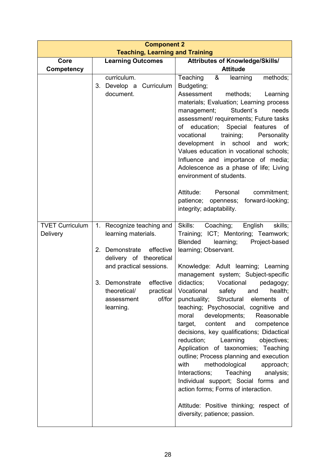| <b>Component 2</b>                                                                                                                                                                                                              |                                                                                                                                                                                                                                                                                                                                                                                                                                                                                                                                                                                                                                                                                                                                                                                                                                                                                                    |  |  |  |  |
|---------------------------------------------------------------------------------------------------------------------------------------------------------------------------------------------------------------------------------|----------------------------------------------------------------------------------------------------------------------------------------------------------------------------------------------------------------------------------------------------------------------------------------------------------------------------------------------------------------------------------------------------------------------------------------------------------------------------------------------------------------------------------------------------------------------------------------------------------------------------------------------------------------------------------------------------------------------------------------------------------------------------------------------------------------------------------------------------------------------------------------------------|--|--|--|--|
|                                                                                                                                                                                                                                 | <b>Attributes of Knowledge/Skills/</b>                                                                                                                                                                                                                                                                                                                                                                                                                                                                                                                                                                                                                                                                                                                                                                                                                                                             |  |  |  |  |
|                                                                                                                                                                                                                                 | <b>Attitude</b>                                                                                                                                                                                                                                                                                                                                                                                                                                                                                                                                                                                                                                                                                                                                                                                                                                                                                    |  |  |  |  |
| curriculum.<br>Develop a Curriculum<br>3.<br>document.                                                                                                                                                                          | &<br>Teaching<br>methods;<br>learning<br>Budgeting;<br>Assessment<br>methods;<br>Learning<br>materials; Evaluation; Learning process<br>Student's<br>needs<br>management;<br>assessment/ requirements; Future tasks<br>of education; Special features of<br>vocational<br>training;<br>Personality<br>development in school<br>and<br>work;<br>Values education in vocational schools;<br>Influence and importance of media;<br>Adolescence as a phase of life; Living<br>environment of students.<br>Personal<br>Attitude:<br>commitment;<br>forward-looking;<br>patience; openness;                                                                                                                                                                                                                                                                                                              |  |  |  |  |
| 1. Recognize teaching and<br>learning materials.<br>effective<br>2.<br>Demonstrate<br>delivery of theoretical<br>and practical sessions.<br>Demonstrate<br>effective<br>3.<br>theoretical/<br>of/for<br>assessment<br>learning. | integrity; adaptability.<br>Skills: Coaching;<br>English<br>skills;<br>Training; ICT; Mentoring; Teamwork;<br>Blended<br>learning;<br>Project-based<br>learning; Observant.<br>Knowledge: Adult learning; Learning<br>management system; Subject-specific<br>didactics;<br>Vocational<br>pedagogy;<br>practical   Vocational safety and health;<br>punctuality; Structural elements of<br>teaching; Psychosocial, cognitive and<br>developments; Reasonable<br>moral<br>content<br>and<br>target,<br>competence<br>decisions, key qualifications; Didactical<br>reduction:<br>Learning<br>objectives;<br>Application of taxonomies; Teaching<br>outline; Process planning and execution<br>with<br>methodological<br>approach;<br>Teaching<br>Interactions;<br>analysis;<br>Individual support; Social forms and<br>action forms; Forms of interaction.<br>Attitude: Positive thinking; respect of |  |  |  |  |
|                                                                                                                                                                                                                                 | <b>Teaching, Learning and Training</b><br><b>Learning Outcomes</b>                                                                                                                                                                                                                                                                                                                                                                                                                                                                                                                                                                                                                                                                                                                                                                                                                                 |  |  |  |  |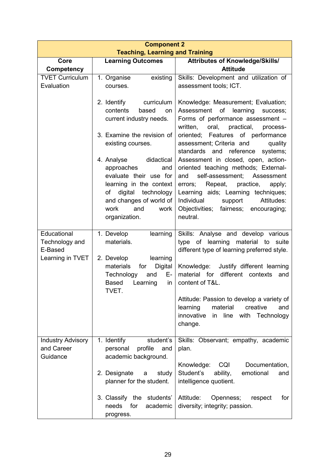| <b>Component 2</b>                                           |                                                                                                                                                                                                                                                                                                                           |                                                                                                                                                                                                                                                                                                                                                                                                                                                                                                                                                                              |  |  |  |
|--------------------------------------------------------------|---------------------------------------------------------------------------------------------------------------------------------------------------------------------------------------------------------------------------------------------------------------------------------------------------------------------------|------------------------------------------------------------------------------------------------------------------------------------------------------------------------------------------------------------------------------------------------------------------------------------------------------------------------------------------------------------------------------------------------------------------------------------------------------------------------------------------------------------------------------------------------------------------------------|--|--|--|
|                                                              | <b>Teaching, Learning and Training</b>                                                                                                                                                                                                                                                                                    |                                                                                                                                                                                                                                                                                                                                                                                                                                                                                                                                                                              |  |  |  |
| Core<br><b>Competency</b>                                    | <b>Learning Outcomes</b>                                                                                                                                                                                                                                                                                                  | <b>Attributes of Knowledge/Skills/</b><br><b>Attitude</b>                                                                                                                                                                                                                                                                                                                                                                                                                                                                                                                    |  |  |  |
| <b>TVET Curriculum</b>                                       | existing<br>1. Organise                                                                                                                                                                                                                                                                                                   | Skills: Development and utilization of                                                                                                                                                                                                                                                                                                                                                                                                                                                                                                                                       |  |  |  |
| Evaluation                                                   | courses.                                                                                                                                                                                                                                                                                                                  | assessment tools; ICT.                                                                                                                                                                                                                                                                                                                                                                                                                                                                                                                                                       |  |  |  |
|                                                              | 2. Identify<br>curriculum<br>contents<br>based<br>on<br>current industry needs.<br>3. Examine the revision of<br>existing courses.<br>4. Analyse<br>didactical<br>approaches<br>and<br>evaluate their use for<br>learning in the context<br>digital<br>technology<br>of<br>and changes of world of<br>work<br>and<br>work | Knowledge: Measurement; Evaluation;<br>Assessment of learning<br>success;<br>Forms of performance assessment -<br>oral, practical,<br>written,<br>process-<br>oriented; Features of performance<br>assessment; Criteria and<br>quality<br>standards and reference<br>systems;<br>Assessment in closed, open, action-<br>oriented teaching methods; External-<br>self-assessment;<br>Assessment<br>and<br>errors;<br>Repeat, practice,<br>apply;<br>Learning aids; Learning techniques;<br>Individual<br>support<br>Attitudes:<br>Objectivities;<br>fairness;<br>encouraging; |  |  |  |
| Educational<br>Technology and<br>E-Based<br>Learning in TVET | organization.<br>1. Develop<br>learning<br>materials.<br>2. Develop<br>learning<br>Digital<br>materials<br>for<br>Technology<br>and<br>E- 1<br>Learning<br><b>Based</b><br>in<br>TVET.                                                                                                                                    | neutral.<br>Skills: Analyse and develop various<br>type of learning material to suite<br>different type of learning preferred style.<br>Knowledge:<br>Justify different learning<br>material for different contexts<br>and<br>content of T&L.<br>Attitude: Passion to develop a variety of<br>learning<br>material<br>creative<br>and<br>innovative<br>in line<br>with Technology<br>change.                                                                                                                                                                                 |  |  |  |
| <b>Industry Advisory</b><br>and Career<br>Guidance           | 1. Identify<br>student's<br>profile<br>personal<br>and<br>academic background.<br>2. Designate<br>study<br>a<br>planner for the student.<br>3. Classify the students'<br>needs<br>for<br>academic<br>progress.                                                                                                            | Skills: Observant; empathy, academic<br>plan.<br>Knowledge:<br>CQI<br>Documentation,<br>Student's<br>ability,<br>emotional<br>and<br>intelligence quotient.<br>Attitude:<br>for<br>Openness;<br>respect<br>diversity; integrity; passion.                                                                                                                                                                                                                                                                                                                                    |  |  |  |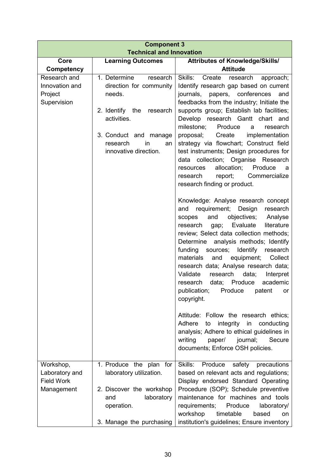| <b>Component 3</b><br><b>Technical and Innovation</b> |                                               |                                                                                    |  |  |
|-------------------------------------------------------|-----------------------------------------------|------------------------------------------------------------------------------------|--|--|
|                                                       |                                               |                                                                                    |  |  |
| Core<br>Competency                                    | <b>Learning Outcomes</b>                      | <b>Attributes of Knowledge/Skills/</b><br><b>Attitude</b>                          |  |  |
| Research and                                          | 1. Determine<br>research                      | Skills:<br>Create<br>approach;<br>research                                         |  |  |
| Innovation and                                        | direction for community                       | Identify research gap based on current                                             |  |  |
| Project                                               | needs.                                        | journals, papers,<br>conferences<br>and                                            |  |  |
| Supervision                                           |                                               | feedbacks from the industry; Initiate the                                          |  |  |
|                                                       | 2. Identify the<br>research                   | supports group; Establish lab facilities;                                          |  |  |
|                                                       | activities.                                   | Develop research Gantt chart<br>and                                                |  |  |
|                                                       |                                               | milestone;<br>Produce<br>research<br>a<br>proposal;<br>Create                      |  |  |
|                                                       | 3. Conduct and manage<br>research<br>in<br>an | implementation<br>strategy via flowchart; Construct field                          |  |  |
|                                                       | innovative direction.                         | test instruments; Design procedures for                                            |  |  |
|                                                       |                                               | collection; Organise Research<br>data                                              |  |  |
|                                                       |                                               | allocation;<br>Produce<br>resources<br>a                                           |  |  |
|                                                       |                                               | research<br>report;<br>Commercialize                                               |  |  |
|                                                       |                                               | research finding or product.                                                       |  |  |
|                                                       |                                               | Knowledge: Analyse research concept                                                |  |  |
|                                                       |                                               | requirement;<br>Design<br>research<br>and                                          |  |  |
|                                                       |                                               | objectives;<br>Analyse<br>and<br>scopes                                            |  |  |
|                                                       |                                               | Evaluate<br>literature<br>research<br>gap;                                         |  |  |
|                                                       |                                               | review; Select data collection methods;<br>analysis methods; Identify<br>Determine |  |  |
|                                                       |                                               | funding<br>Identify<br>sources;<br>research                                        |  |  |
|                                                       |                                               | materials<br>equipment;<br>Collect<br>and                                          |  |  |
|                                                       |                                               | research data; Analyse research data;                                              |  |  |
|                                                       |                                               | Validate<br>data;<br>research<br>Interpret                                         |  |  |
|                                                       |                                               | data; Produce<br>academic<br>research                                              |  |  |
|                                                       |                                               | publication;<br>Produce<br>patent<br>or -<br>copyright.                            |  |  |
|                                                       |                                               |                                                                                    |  |  |
|                                                       |                                               | Attitude: Follow the research ethics;                                              |  |  |
|                                                       |                                               | integrity in conducting<br>Adhere<br>to                                            |  |  |
|                                                       |                                               | analysis; Adhere to ethical guidelines in<br>writing<br>journal;<br>Secure         |  |  |
|                                                       |                                               | paper/<br>documents; Enforce OSH policies.                                         |  |  |
|                                                       |                                               |                                                                                    |  |  |
| Workshop,                                             | 1. Produce the plan for                       | Skills:<br>Produce<br>safety precautions                                           |  |  |
| Laboratory and                                        | laboratory utilization.                       | based on relevant acts and regulations;                                            |  |  |
| <b>Field Work</b>                                     | 2. Discover the workshop                      | Display endorsed Standard Operating                                                |  |  |
| Management                                            | and<br>laboratory                             | Procedure (SOP); Schedule preventive<br>maintenance for machines and tools         |  |  |
|                                                       | operation.                                    | Produce<br>requirements;<br>laboratory/                                            |  |  |
|                                                       |                                               | workshop<br>timetable<br>based<br><b>on</b>                                        |  |  |
|                                                       | 3. Manage the purchasing                      | institution's guidelines; Ensure inventory                                         |  |  |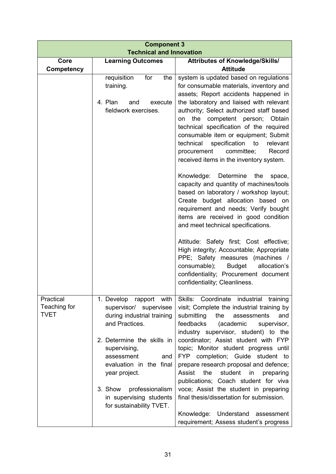| <b>Component 3</b><br><b>Technical and Innovation</b> |                                                                                                                                           |                                                                                                                                                                                                                                                                                                                                               |  |  |  |
|-------------------------------------------------------|-------------------------------------------------------------------------------------------------------------------------------------------|-----------------------------------------------------------------------------------------------------------------------------------------------------------------------------------------------------------------------------------------------------------------------------------------------------------------------------------------------|--|--|--|
| Core                                                  | <b>Learning Outcomes</b>                                                                                                                  |                                                                                                                                                                                                                                                                                                                                               |  |  |  |
| Competency                                            |                                                                                                                                           | <b>Attributes of Knowledge/Skills/</b><br><b>Attitude</b>                                                                                                                                                                                                                                                                                     |  |  |  |
|                                                       | requisition<br>the<br>for<br>training.<br>4. Plan<br>and<br>execute<br>fieldwork exercises.                                               | system is updated based on regulations<br>for consumable materials, inventory and<br>assets; Report accidents happened in<br>the laboratory and liaised with relevant<br>authority; Select authorized staff based<br>the competent person;<br>Obtain<br>on<br>technical specification of the required<br>consumable item or equipment; Submit |  |  |  |
|                                                       |                                                                                                                                           | specification to<br>technical<br>relevant<br>committee;<br>procurement<br>Record<br>received items in the inventory system.<br>Knowledge: Determine<br>the<br>space,                                                                                                                                                                          |  |  |  |
|                                                       |                                                                                                                                           | capacity and quantity of machines/tools<br>based on laboratory / workshop layout;<br>Create budget allocation based on<br>requirement and needs; Verify bought<br>items are received in good condition<br>and meet technical specifications.                                                                                                  |  |  |  |
|                                                       |                                                                                                                                           | Attitude: Safety first; Cost effective;<br>High integrity; Accountable; Appropriate<br>PPE; Safety measures (machines /<br>consumable);<br><b>Budget</b><br>allocation's<br>confidentiality; Procurement document<br>confidentiality; Cleanliness.                                                                                            |  |  |  |
| Practical<br>Teaching for<br><b>TVET</b>              | 1. Develop rapport with<br>supervisor/<br>supervisee<br>during industrial training<br>and Practices.                                      | Skills: Coordinate industrial training<br>visit; Complete the industrial training by<br>submitting<br>the<br>assessments<br>and<br>feedbacks<br>(academic<br>supervisor,<br>industry supervisor, student) to the                                                                                                                              |  |  |  |
|                                                       | 2. Determine the skills in<br>supervising,<br>assessment<br>and<br>evaluation in the final<br>year project.<br>3. Show<br>professionalism | coordinator; Assist student with FYP<br>topic; Monitor student progress until<br>completion; Guide student to<br><b>FYP</b><br>prepare research proposal and defence;<br>student<br>Assist<br>the<br>$\overline{\mathsf{in}}$<br>preparing<br>publications; Coach student for viva<br>voce; Assist the student in preparing                   |  |  |  |
|                                                       | in supervising students<br>for sustainability TVET.                                                                                       | final thesis/dissertation for submission.<br>Understand<br>Knowledge:<br>assessment<br>requirement; Assess student's progress                                                                                                                                                                                                                 |  |  |  |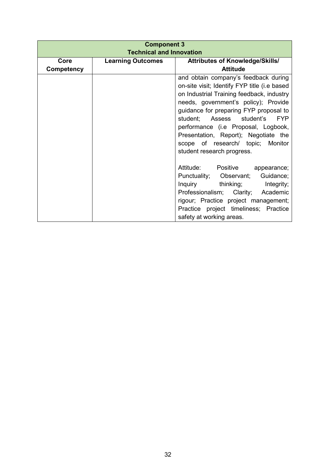| <b>Component 3</b>              |                                        |                                              |  |  |
|---------------------------------|----------------------------------------|----------------------------------------------|--|--|
| <b>Technical and Innovation</b> |                                        |                                              |  |  |
| Core                            | <b>Learning Outcomes</b>               | <b>Attributes of Knowledge/Skills/</b>       |  |  |
| Competency                      |                                        | <b>Attitude</b>                              |  |  |
|                                 |                                        | and obtain company's feedback during         |  |  |
|                                 |                                        | on-site visit; Identify FYP title (i.e based |  |  |
|                                 |                                        | on Industrial Training feedback, industry    |  |  |
|                                 | needs, government's policy); Provide   |                                              |  |  |
|                                 | guidance for preparing FYP proposal to |                                              |  |  |
|                                 |                                        | student; Assess student's<br><b>FYP</b>      |  |  |
|                                 |                                        | performance (i.e Proposal, Logbook,          |  |  |
|                                 |                                        | Presentation, Report); Negotiate the         |  |  |
|                                 |                                        | scope of research/ topic; Monitor            |  |  |
|                                 |                                        | student research progress.                   |  |  |
|                                 |                                        |                                              |  |  |
|                                 |                                        | Attitude: Positive appearance;               |  |  |
|                                 |                                        | Punctuality; Observant;<br>Guidance;         |  |  |
|                                 |                                        | Inquiry thinking; Integrity;                 |  |  |
|                                 |                                        | Professionalism; Clarity; Academic           |  |  |
|                                 |                                        | rigour; Practice project management;         |  |  |
|                                 |                                        | Practice project timeliness; Practice        |  |  |
|                                 |                                        | safety at working areas.                     |  |  |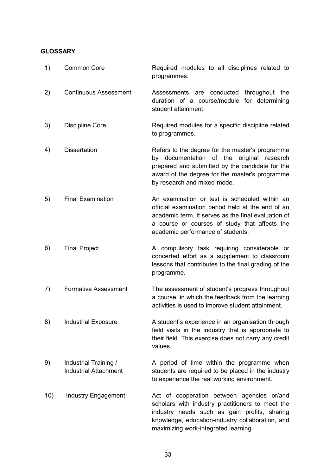#### **GLOSSARY**

| 1)  | <b>Common Core</b>                                    | Required modules to all disciplines related to<br>programmes.                                                                                                                                                                                   |
|-----|-------------------------------------------------------|-------------------------------------------------------------------------------------------------------------------------------------------------------------------------------------------------------------------------------------------------|
| 2)  | <b>Continuous Assessment</b>                          | conducted<br>Assessments<br>are<br>throughout the<br>duration of a course/module for determining<br>student attainment.                                                                                                                         |
| 3)  | <b>Discipline Core</b>                                | Required modules for a specific discipline related<br>to programmes.                                                                                                                                                                            |
| 4)  | <b>Dissertation</b>                                   | Refers to the degree for the master's programme<br>by documentation of the original research<br>prepared and submitted by the candidate for the<br>award of the degree for the master's programme<br>by research and mixed-mode.                |
| 5)  | <b>Final Examination</b>                              | An examination or test is scheduled within an<br>official examination period held at the end of an<br>academic term. It serves as the final evaluation of<br>a course or courses of study that affects the<br>academic performance of students. |
| 6)  | <b>Final Project</b>                                  | A compulsory task requiring considerable or<br>concerted effort as a supplement to classroom<br>lessons that contributes to the final grading of the<br>programme.                                                                              |
| 7)  | <b>Formative Assessment</b>                           | The assessment of student's progress throughout<br>a course, in which the feedback from the learning<br>activities is used to improve student attainment.                                                                                       |
| 8)  | <b>Industrial Exposure</b>                            | A student's experience in an organisation through<br>field visits in the industry that is appropriate to<br>their field. This exercise does not carry any credit<br>values.                                                                     |
| 9)  | Industrial Training /<br><b>Industrial Attachment</b> | A period of time within the programme when<br>students are required to be placed in the industry<br>to experience the real working environment.                                                                                                 |
| 10) | <b>Industry Engagement</b>                            | Act of cooperation between agencies or/and<br>scholars with industry practitioners to meet the<br>industry needs such as gain profits, sharing<br>knowledge, education-industry collaboration, and<br>maximizing work-integrated learning.      |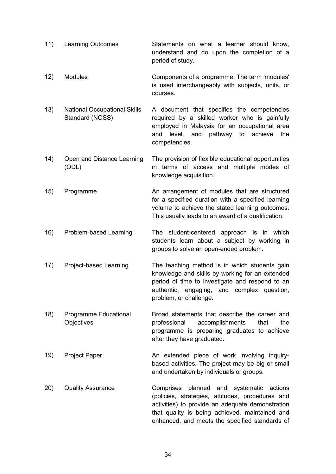- 11) Learning Outcomes Statements on what a learner should know, understand and do upon the completion of a period of study.
- 12) Modules Components of a programme. The term 'modules' is used interchangeably with subjects, units, or courses.
- 13) National Occupational Skills Standard (NOSS) A document that specifies the competencies required by a skilled worker who is gainfully employed in Malaysia for an occupational area and level, and pathway to achieve the competencies.
- 14) Open and Distance Learning (ODL) The provision of flexible educational opportunities in terms of access and multiple modes of knowledge acquisition.
- 15) Programme An arrangement of modules that are structured for a specified duration with a specified learning volume to achieve the stated learning outcomes. This usually leads to an award of a qualification.
- 16) Problem-based Learning The student-centered approach is in which students learn about a subject by working in groups to solve an open-ended problem.
- 17) Project-based Learning The teaching method is in which students gain knowledge and skills by working for an extended period of time to investigate and respond to an authentic, engaging, and complex question, problem, or challenge.
- 18) Programme Educational **Objectives** Broad statements that describe the career and professional accomplishments that the programme is preparing graduates to achieve after they have graduated.
- 19) Project Paper An extended piece of work involving inquirybased activities. The project may be big or small and undertaken by individuals or groups.
- 20) Quality Assurance Comprises planned and systematic actions (policies, strategies, attitudes, procedures and activities) to provide an adequate demonstration that quality is being achieved, maintained and enhanced, and meets the specified standards of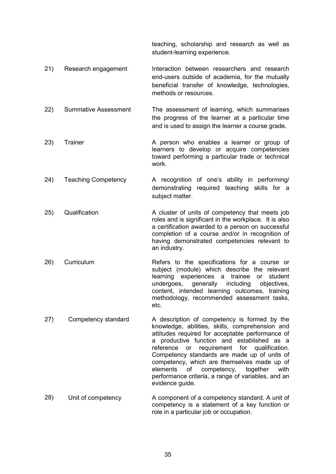teaching, scholarship and research as well as student-learning experience.

- 21) Research engagement Interaction between researchers and research end-users outside of academia, for the mutually beneficial transfer of knowledge, technologies, methods or resources.
- 22) Summative Assessment The assessment of learning, which summarises the progress of the learner at a particular time and is used to assign the learner a course grade.
- 23) Trainer **A person who enables a learner or group of** learners to develop or acquire competencies toward performing a particular trade or technical work.
- 24) Teaching Competency A recognition of one's ability in performing/ demonstrating required teaching skills for a subject matter.
- 25) Qualification **A** cluster of units of competency that meets job roles and is significant in the workplace. It is also a certification awarded to a person on successful completion of a course and/or in recognition of having demonstrated competencies relevant to an industry.
- 26) Curriculum Refers to the specifications for a course or subject (module) which describe the relevant learning experiences a trainee or student undergoes, generally including objectives, content, intended learning outcomes, training methodology, recommended assessment tasks, etc.
- 27) Competency standard A description of competency is formed by the knowledge, abilities, skills, comprehension and attitudes required for acceptable performance of a productive function and established as a reference or requirement for qualification. Competency standards are made up of units of competency, which are themselves made up of elements of competency, together with performance criteria, a range of variables, and an evidence guide.
- 28) Unit of competency A component of a competency standard. A unit of competency is a statement of a key function or role in a particular job or occupation.